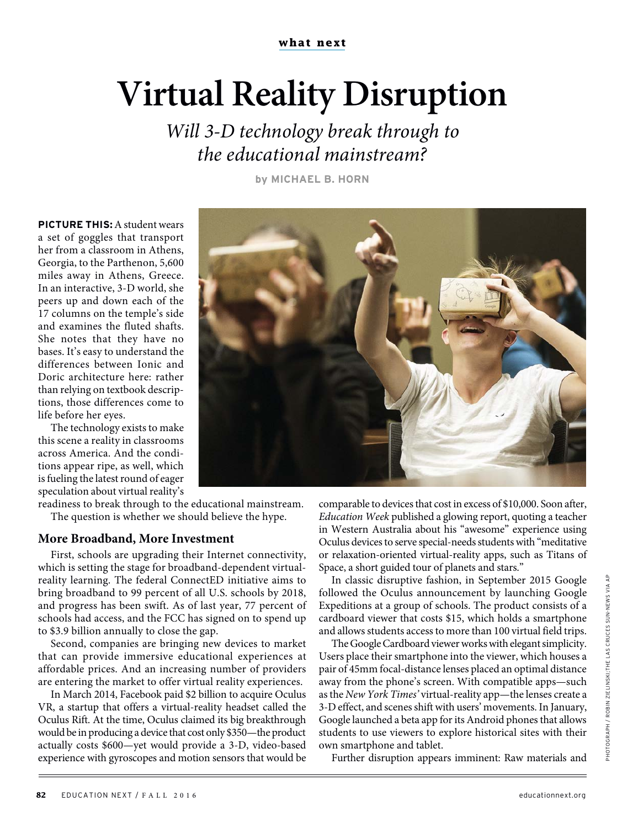## **Virtual Reality Disruption**

Will 3-D technology break through to the educational mainstream?

**by MICHAEL B. HORN**

**PICTURE THIS:** A student wears a set of goggles that transport her from a classroom in Athens, Georgia, to the Parthenon, 5,600 miles away in Athens, Greece. In an interactive, 3-D world, she peers up and down each of the 17 columns on the temple's side and examines the fluted shafts. She notes that they have no bases. It's easy to understand the differences between Ionic and Doric architecture here: rather than relying on textbook descriptions, those differences come to life before her eyes.

The technology exists to make this scene a reality in classrooms across America. And the conditions appear ripe, as well, which is fueling the latest round of eager speculation about virtual reality's



readiness to break through to the educational mainstream. The question is whether we should believe the hype.

## **More Broadband, More Investment**

First, schools are upgrading their Internet connectivity, which is setting the stage for broadband-dependent virtualreality learning. The federal ConnectED initiative aims to bring broadband to 99 percent of all U.S. schools by 2018, and progress has been swift. As of last year, 77 percent of schools had access, and the FCC has signed on to spend up to \$3.9 billion annually to close the gap.

Second, companies are bringing new devices to market that can provide immersive educational experiences at affordable prices. And an increasing number of providers are entering the market to offer virtual reality experiences.

In March 2014, Facebook paid \$2 billion to acquire Oculus VR, a startup that offers a virtual-reality headset called the Oculus Rift. At the time, Oculus claimed its big breakthrough would be in producing a device that cost only \$350—the product actually costs \$600—yet would provide a 3-D, video-based experience with gyroscopes and motion sensors that would be

comparable to devices that cost in excess of \$10,000. Soon after, Education Week published a glowing report, quoting a teacher in Western Australia about his "awesome" experience using Oculus devices to serve special-needs students with "meditative or relaxation-oriented virtual-reality apps, such as Titans of Space, a short guided tour of planets and stars."

In classic disruptive fashion, in September 2015 Google followed the Oculus announcement by launching Google Expeditions at a group of schools. The product consists of a cardboard viewer that costs \$15, which holds a smartphone and allows students access to more than 100 virtual field trips.

The Google Cardboard viewer works with elegant simplicity. Users place their smartphone into the viewer, which houses a pair of 45mm focal-distance lenses placed an optimal distance away from the phone's screen. With compatible apps—such as the New York Times' virtual-reality app—the lenses create a 3-D effect, and scenes shift with users' movements. In January, Google launched a beta app for its Android phones that allows students to use viewers to explore historical sites with their own smartphone and tablet.

Further disruption appears imminent: Raw materials and